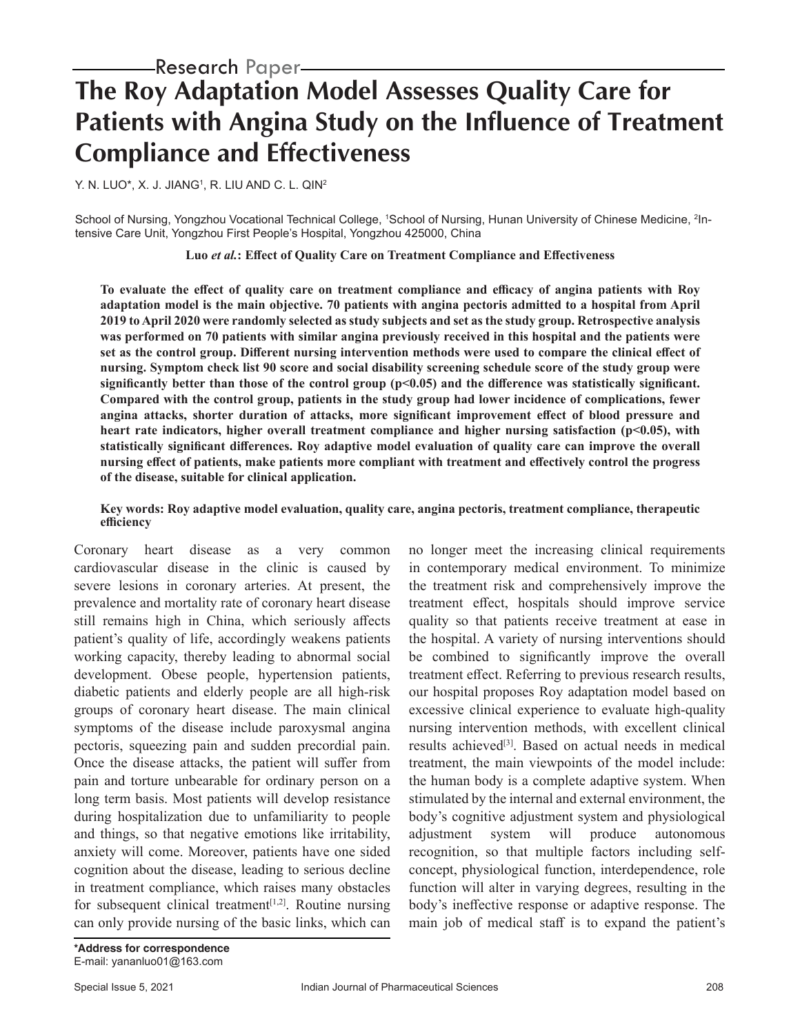# **The Roy Adaptation Model Assesses Quality Care for Patients with Angina Study on the Influence of Treatment Compliance and Effectiveness**

Y. N. LUO\*, X. J. JIANG1 , R. LIU AND C. L. QIN2

School of Nursing, Yongzhou Vocational Technical College, <sup>1</sup>School of Nursing, Hunan University of Chinese Medicine, <sup>2</sup>Intensive Care Unit, Yongzhou First People's Hospital, Yongzhou 425000, China

**Luo** *et al.***: Effect of Quality Care on Treatment Compliance and Effectiveness**

**To evaluate the effect of quality care on treatment compliance and efficacy of angina patients with Roy adaptation model is the main objective. 70 patients with angina pectoris admitted to a hospital from April 2019 to April 2020 were randomly selected as study subjects and set as the study group. Retrospective analysis was performed on 70 patients with similar angina previously received in this hospital and the patients were set as the control group. Different nursing intervention methods were used to compare the clinical effect of nursing. Symptom check list 90 score and social disability screening schedule score of the study group were significantly better than those of the control group (p<0.05) and the difference was statistically significant. Compared with the control group, patients in the study group had lower incidence of complications, fewer angina attacks, shorter duration of attacks, more significant improvement effect of blood pressure and heart rate indicators, higher overall treatment compliance and higher nursing satisfaction (p<0.05), with statistically significant differences. Roy adaptive model evaluation of quality care can improve the overall nursing effect of patients, make patients more compliant with treatment and effectively control the progress of the disease, suitable for clinical application.**

#### **Key words: Roy adaptive model evaluation, quality care, angina pectoris, treatment compliance, therapeutic efficiency**

Coronary heart disease as a very common cardiovascular disease in the clinic is caused by severe lesions in coronary arteries. At present, the prevalence and mortality rate of coronary heart disease still remains high in China, which seriously affects patient's quality of life, accordingly weakens patients working capacity, thereby leading to abnormal social development. Obese people, hypertension patients, diabetic patients and elderly people are all high-risk groups of coronary heart disease. The main clinical symptoms of the disease include paroxysmal angina pectoris, squeezing pain and sudden precordial pain. Once the disease attacks, the patient will suffer from pain and torture unbearable for ordinary person on a long term basis. Most patients will develop resistance during hospitalization due to unfamiliarity to people and things, so that negative emotions like irritability, anxiety will come. Moreover, patients have one sided cognition about the disease, leading to serious decline in treatment compliance, which raises many obstacles for subsequent clinical treatment<sup>[1,2]</sup>. Routine nursing can only provide nursing of the basic links, which can no longer meet the increasing clinical requirements in contemporary medical environment. To minimize the treatment risk and comprehensively improve the treatment effect, hospitals should improve service quality so that patients receive treatment at ease in the hospital. A variety of nursing interventions should be combined to significantly improve the overall treatment effect. Referring to previous research results, our hospital proposes Roy adaptation model based on excessive clinical experience to evaluate high-quality nursing intervention methods, with excellent clinical results achieved<sup>[3]</sup>. Based on actual needs in medical treatment, the main viewpoints of the model include: the human body is a complete adaptive system. When stimulated by the internal and external environment, the body's cognitive adjustment system and physiological adjustment system will produce autonomous recognition, so that multiple factors including selfconcept, physiological function, interdependence, role function will alter in varying degrees, resulting in the body's ineffective response or adaptive response. The main job of medical staff is to expand the patient's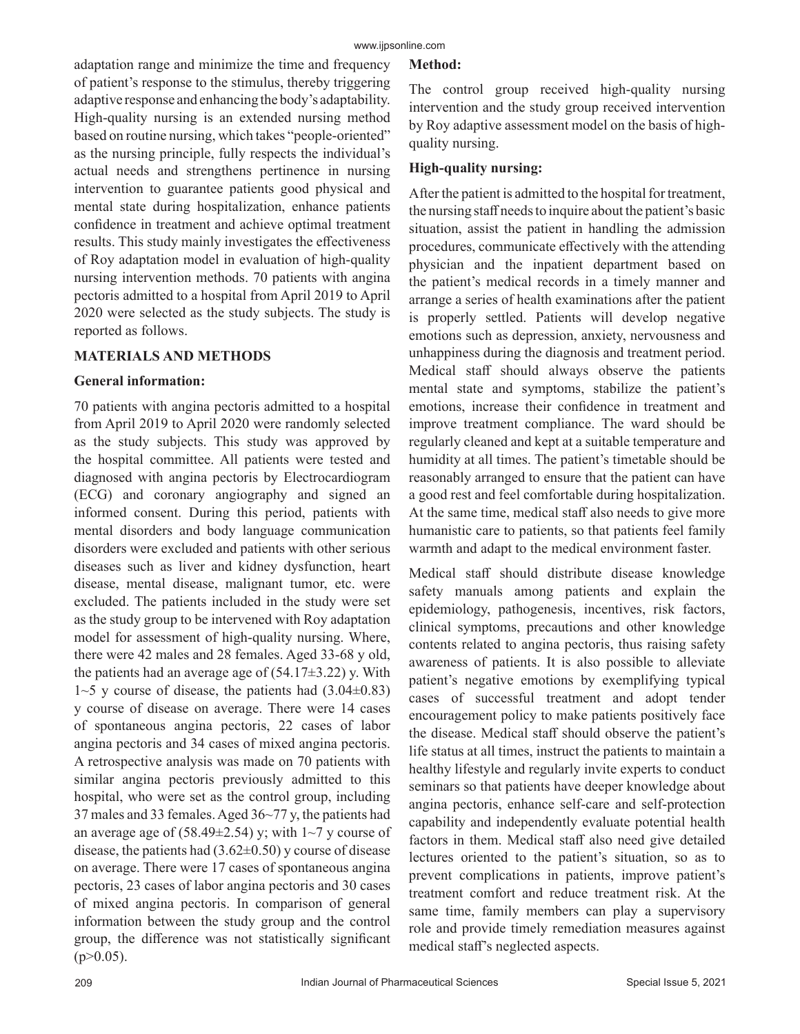adaptation range and minimize the time and frequency of patient's response to the stimulus, thereby triggering adaptive response and enhancing the body's adaptability. High-quality nursing is an extended nursing method based on routine nursing, which takes "people-oriented" as the nursing principle, fully respects the individual's actual needs and strengthens pertinence in nursing intervention to guarantee patients good physical and mental state during hospitalization, enhance patients confidence in treatment and achieve optimal treatment results. This study mainly investigates the effectiveness of Roy adaptation model in evaluation of high-quality nursing intervention methods. 70 patients with angina pectoris admitted to a hospital from April 2019 to April 2020 were selected as the study subjects. The study is reported as follows.

# **MATERIALS AND METHODS**

#### **General information:**

70 patients with angina pectoris admitted to a hospital from April 2019 to April 2020 were randomly selected as the study subjects. This study was approved by the hospital committee. All patients were tested and diagnosed with angina pectoris by Electrocardiogram (ECG) and coronary angiography and signed an informed consent. During this period, patients with mental disorders and body language communication disorders were excluded and patients with other serious diseases such as liver and kidney dysfunction, heart disease, mental disease, malignant tumor, etc. were excluded. The patients included in the study were set as the study group to be intervened with Roy adaptation model for assessment of high-quality nursing. Where, there were 42 males and 28 females. Aged 33-68 y old, the patients had an average age of  $(54.17\pm3.22)$  y. With  $1~5$  y course of disease, the patients had  $(3.04 \pm 0.83)$ y course of disease on average. There were 14 cases of spontaneous angina pectoris, 22 cases of labor angina pectoris and 34 cases of mixed angina pectoris. A retrospective analysis was made on 70 patients with similar angina pectoris previously admitted to this hospital, who were set as the control group, including 37 males and 33 females. Aged 36~77 y, the patients had an average age of  $(58.49\pm 2.54)$  y; with  $1~1$  $-7$  y course of disease, the patients had  $(3.62\pm0.50)$  y course of disease on average. There were 17 cases of spontaneous angina pectoris, 23 cases of labor angina pectoris and 30 cases of mixed angina pectoris. In comparison of general information between the study group and the control group, the difference was not statistically significant  $(p>0.05)$ .

# **Method:**

The control group received high-quality nursing intervention and the study group received intervention by Roy adaptive assessment model on the basis of highquality nursing.

# **High-quality nursing:**

After the patient is admitted to the hospital for treatment, the nursing staff needs to inquire about the patient's basic situation, assist the patient in handling the admission procedures, communicate effectively with the attending physician and the inpatient department based on the patient's medical records in a timely manner and arrange a series of health examinations after the patient is properly settled. Patients will develop negative emotions such as depression, anxiety, nervousness and unhappiness during the diagnosis and treatment period. Medical staff should always observe the patients mental state and symptoms, stabilize the patient's emotions, increase their confidence in treatment and improve treatment compliance. The ward should be regularly cleaned and kept at a suitable temperature and humidity at all times. The patient's timetable should be reasonably arranged to ensure that the patient can have a good rest and feel comfortable during hospitalization. At the same time, medical staff also needs to give more humanistic care to patients, so that patients feel family warmth and adapt to the medical environment faster.

Medical staff should distribute disease knowledge safety manuals among patients and explain the epidemiology, pathogenesis, incentives, risk factors, clinical symptoms, precautions and other knowledge contents related to angina pectoris, thus raising safety awareness of patients. It is also possible to alleviate patient's negative emotions by exemplifying typical cases of successful treatment and adopt tender encouragement policy to make patients positively face the disease. Medical staff should observe the patient's life status at all times, instruct the patients to maintain a healthy lifestyle and regularly invite experts to conduct seminars so that patients have deeper knowledge about angina pectoris, enhance self-care and self-protection capability and independently evaluate potential health factors in them. Medical staff also need give detailed lectures oriented to the patient's situation, so as to prevent complications in patients, improve patient's treatment comfort and reduce treatment risk. At the same time, family members can play a supervisory role and provide timely remediation measures against medical staff's neglected aspects.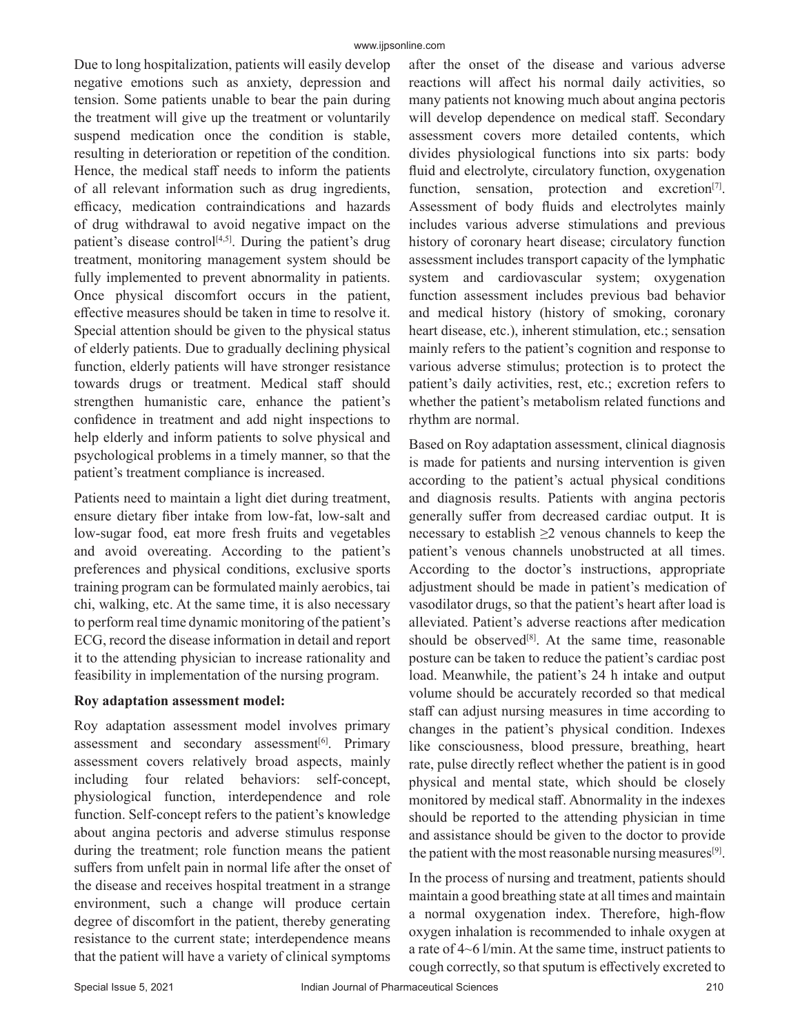Due to long hospitalization, patients will easily develop negative emotions such as anxiety, depression and tension. Some patients unable to bear the pain during the treatment will give up the treatment or voluntarily suspend medication once the condition is stable, resulting in deterioration or repetition of the condition. Hence, the medical staff needs to inform the patients of all relevant information such as drug ingredients, efficacy, medication contraindications and hazards of drug withdrawal to avoid negative impact on the patient's disease control<sup>[4,5]</sup>. During the patient's drug treatment, monitoring management system should be fully implemented to prevent abnormality in patients. Once physical discomfort occurs in the patient, effective measures should be taken in time to resolve it. Special attention should be given to the physical status of elderly patients. Due to gradually declining physical function, elderly patients will have stronger resistance towards drugs or treatment. Medical staff should strengthen humanistic care, enhance the patient's confidence in treatment and add night inspections to help elderly and inform patients to solve physical and psychological problems in a timely manner, so that the patient's treatment compliance is increased.

Patients need to maintain a light diet during treatment, ensure dietary fiber intake from low-fat, low-salt and low-sugar food, eat more fresh fruits and vegetables and avoid overeating. According to the patient's preferences and physical conditions, exclusive sports training program can be formulated mainly aerobics, tai chi, walking, etc. At the same time, it is also necessary to perform real time dynamic monitoring of the patient's ECG, record the disease information in detail and report it to the attending physician to increase rationality and feasibility in implementation of the nursing program.

## **Roy adaptation assessment model:**

Roy adaptation assessment model involves primary assessment and secondary assessment<sup>[6]</sup>. Primary assessment covers relatively broad aspects, mainly including four related behaviors: self-concept, physiological function, interdependence and role function. Self-concept refers to the patient's knowledge about angina pectoris and adverse stimulus response during the treatment; role function means the patient suffers from unfelt pain in normal life after the onset of the disease and receives hospital treatment in a strange environment, such a change will produce certain degree of discomfort in the patient, thereby generating resistance to the current state; interdependence means that the patient will have a variety of clinical symptoms after the onset of the disease and various adverse reactions will affect his normal daily activities, so many patients not knowing much about angina pectoris will develop dependence on medical staff. Secondary assessment covers more detailed contents, which divides physiological functions into six parts: body fluid and electrolyte, circulatory function, oxygenation function, sensation, protection and excretion<sup>[7]</sup>. Assessment of body fluids and electrolytes mainly includes various adverse stimulations and previous history of coronary heart disease; circulatory function assessment includes transport capacity of the lymphatic system and cardiovascular system; oxygenation function assessment includes previous bad behavior and medical history (history of smoking, coronary heart disease, etc.), inherent stimulation, etc.; sensation mainly refers to the patient's cognition and response to various adverse stimulus; protection is to protect the patient's daily activities, rest, etc.; excretion refers to whether the patient's metabolism related functions and rhythm are normal.

Based on Roy adaptation assessment, clinical diagnosis is made for patients and nursing intervention is given according to the patient's actual physical conditions and diagnosis results. Patients with angina pectoris generally suffer from decreased cardiac output. It is necessary to establish  $\geq 2$  venous channels to keep the patient's venous channels unobstructed at all times. According to the doctor's instructions, appropriate adjustment should be made in patient's medication of vasodilator drugs, so that the patient's heart after load is alleviated. Patient's adverse reactions after medication should be observed $[8]$ . At the same time, reasonable posture can be taken to reduce the patient's cardiac post load. Meanwhile, the patient's 24 h intake and output volume should be accurately recorded so that medical staff can adjust nursing measures in time according to changes in the patient's physical condition. Indexes like consciousness, blood pressure, breathing, heart rate, pulse directly reflect whether the patient is in good physical and mental state, which should be closely monitored by medical staff. Abnormality in the indexes should be reported to the attending physician in time and assistance should be given to the doctor to provide the patient with the most reasonable nursing measures<sup>[9]</sup>.

In the process of nursing and treatment, patients should maintain a good breathing state at all times and maintain a normal oxygenation index. Therefore, high-flow oxygen inhalation is recommended to inhale oxygen at a rate of 4~6 l/min. At the same time, instruct patients to cough correctly, so that sputum is effectively excreted to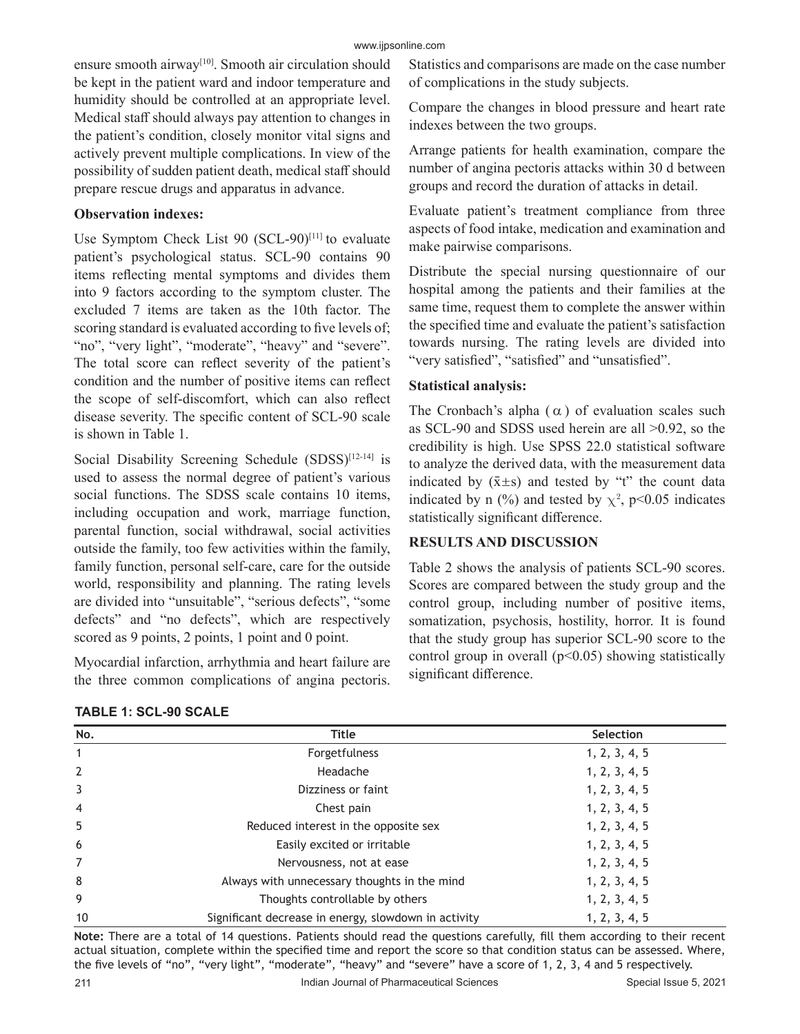ensure smooth airway<sup>[10]</sup>. Smooth air circulation should be kept in the patient ward and indoor temperature and humidity should be controlled at an appropriate level. Medical staff should always pay attention to changes in the patient's condition, closely monitor vital signs and actively prevent multiple complications. In view of the possibility of sudden patient death, medical staff should prepare rescue drugs and apparatus in advance.

#### **Observation indexes:**

Use Symptom Check List 90  $(SCL-90)^{[11]}$  to evaluate patient's psychological status. SCL-90 contains 90 items reflecting mental symptoms and divides them into 9 factors according to the symptom cluster. The excluded 7 items are taken as the 10th factor. The scoring standard is evaluated according to five levels of; "no", "very light", "moderate", "heavy" and "severe". The total score can reflect severity of the patient's condition and the number of positive items can reflect the scope of self-discomfort, which can also reflect disease severity. The specific content of SCL-90 scale is shown in Table 1.

Social Disability Screening Schedule (SDSS)<sup>[12-14]</sup> is used to assess the normal degree of patient's various social functions. The SDSS scale contains 10 items, including occupation and work, marriage function, parental function, social withdrawal, social activities outside the family, too few activities within the family, family function, personal self-care, care for the outside world, responsibility and planning. The rating levels are divided into "unsuitable", "serious defects", "some defects" and "no defects", which are respectively scored as 9 points, 2 points, 1 point and 0 point.

Myocardial infarction, arrhythmia and heart failure are the three common complications of angina pectoris.

| <b>TABLE 1: SCL-90 SCALE</b> |  |  |  |  |  |
|------------------------------|--|--|--|--|--|
|------------------------------|--|--|--|--|--|

Statistics and comparisons are made on the case number of complications in the study subjects.

Compare the changes in blood pressure and heart rate indexes between the two groups.

Arrange patients for health examination, compare the number of angina pectoris attacks within 30 d between groups and record the duration of attacks in detail.

Evaluate patient's treatment compliance from three aspects of food intake, medication and examination and make pairwise comparisons.

Distribute the special nursing questionnaire of our hospital among the patients and their families at the same time, request them to complete the answer within the specified time and evaluate the patient's satisfaction towards nursing. The rating levels are divided into "very satisfied", "satisfied" and "unsatisfied".

#### **Statistical analysis:**

The Cronbach's alpha  $(\alpha)$  of evaluation scales such as SCL-90 and SDSS used herein are all >0.92, so the credibility is high. Use SPSS 22.0 statistical software to analyze the derived data, with the measurement data indicated by  $(\bar{x} \pm s)$  and tested by "t" the count data indicated by n (%) and tested by  $\chi^2$ , p<0.05 indicates statistically significant difference.

## **RESULTS AND DISCUSSION**

Table 2 shows the analysis of patients SCL-90 scores. Scores are compared between the study group and the control group, including number of positive items, somatization, psychosis, hostility, horror. It is found that the study group has superior SCL-90 score to the control group in overall ( $p$ <0.05) showing statistically significant difference.

| No.            | <b>Title</b>                                         | Selection     |
|----------------|------------------------------------------------------|---------------|
| 1              | Forgetfulness                                        | 1, 2, 3, 4, 5 |
| $\overline{2}$ | Headache                                             | 1, 2, 3, 4, 5 |
| 3              | Dizziness or faint                                   | 1, 2, 3, 4, 5 |
| $\overline{4}$ | Chest pain                                           | 1, 2, 3, 4, 5 |
| -5             | Reduced interest in the opposite sex                 | 1, 2, 3, 4, 5 |
| 6              | Easily excited or irritable                          | 1, 2, 3, 4, 5 |
| $\overline{7}$ | Nervousness, not at ease                             | 1, 2, 3, 4, 5 |
| 8              | Always with unnecessary thoughts in the mind         | 1, 2, 3, 4, 5 |
| 9              | Thoughts controllable by others                      | 1, 2, 3, 4, 5 |
| 10             | Significant decrease in energy, slowdown in activity | 1, 2, 3, 4, 5 |

**Note:** There are a total of 14 questions. Patients should read the questions carefully, fill them according to their recent actual situation, complete within the specified time and report the score so that condition status can be assessed. Where, the five levels of "no", "very light", "moderate", "heavy" and "severe" have a score of 1, 2, 3, 4 and 5 respectively.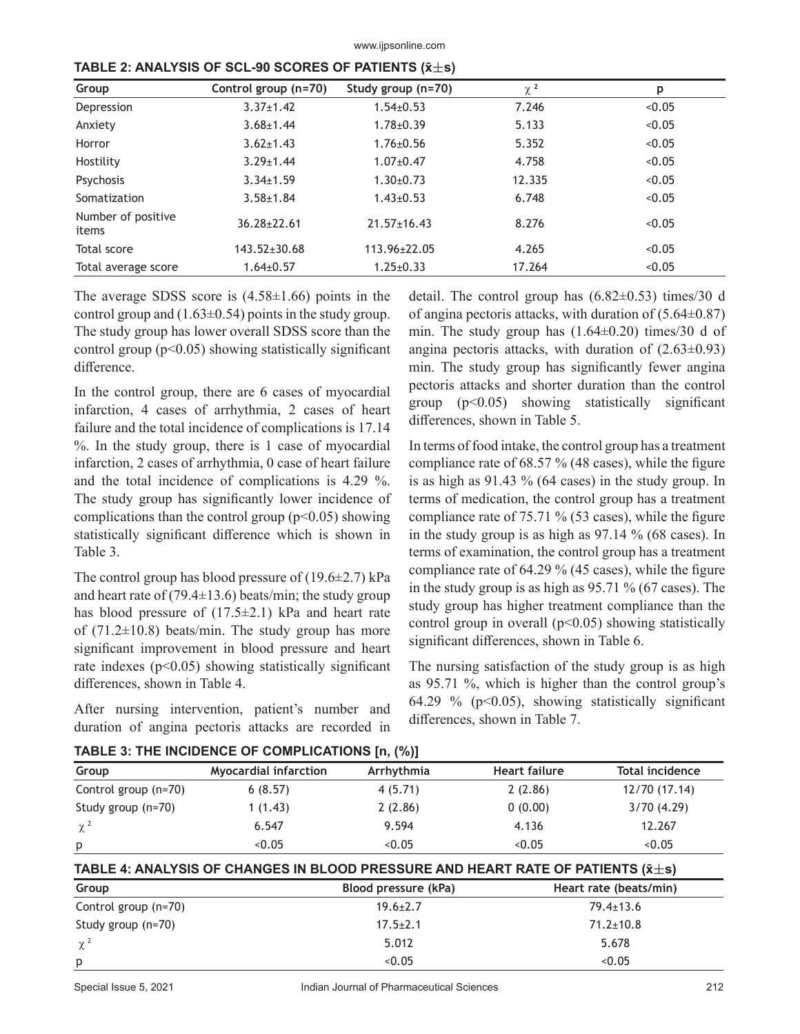www.ijpsonline.com

| Group                       | Control group (n=70) | Study group (n=70) | $\chi^2$ | p      |
|-----------------------------|----------------------|--------------------|----------|--------|
| Depression                  | $3.37 \pm 1.42$      | $1.54 \pm 0.53$    | 7.246    | < 0.05 |
| Anxiety                     | $3.68 \pm 1.44$      | $1.78 \pm 0.39$    | 5.133    | < 0.05 |
| Horror                      | $3.62 \pm 1.43$      | $1.76 \pm 0.56$    | 5.352    | < 0.05 |
| Hostility                   | $3.29 + 1.44$        | $1.07 + 0.47$      | 4.758    | < 0.05 |
| Psychosis                   | $3.34 \pm 1.59$      | $1.30 \pm 0.73$    | 12.335   | < 0.05 |
| Somatization                | $3.58 + 1.84$        | $1.43 \pm 0.53$    | 6.748    | < 0.05 |
| Number of positive<br>items | $36.28 \pm 22.61$    | $21.57 \pm 16.43$  | 8.276    | < 0.05 |
| <b>Total score</b>          | $143.52 \pm 30.68$   | 113.96±22.05       | 4.265    | < 0.05 |
| Total average score         | $1.64 \pm 0.57$      | $1.25 \pm 0.33$    | 17.264   | < 0.05 |

| TABLE 2: ANALYSIS OF SCL-90 SCORES OF PATIENTS ( $\bar{\mathbf{x}} \pm \mathbf{s}$ ) |  |  |  |  |
|--------------------------------------------------------------------------------------|--|--|--|--|
|--------------------------------------------------------------------------------------|--|--|--|--|

The average SDSS score is  $(4.58\pm1.66)$  points in the control group and  $(1.63\pm0.54)$  points in the study group. The study group has lower overall SDSS score than the control group  $(p<0.05)$  showing statistically significant difference.

In the control group, there are 6 cases of myocardial infarction, 4 cases of arrhythmia, 2 cases of heart failure and the total incidence of complications is 17.14 %. In the study group, there is 1 case of myocardial infarction, 2 cases of arrhythmia, 0 case of heart failure and the total incidence of complications is 4.29 %. The study group has significantly lower incidence of complications than the control group  $(p<0.05)$  showing statistically significant difference which is shown in Table 3.

The control group has blood pressure of  $(19.6\pm 2.7)$  kPa and heart rate of (79.4 $\pm$ 13.6) beats/min; the study group has blood pressure of  $(17.5\pm2.1)$  kPa and heart rate of  $(71.2\pm10.8)$  beats/min. The study group has more significant improvement in blood pressure and heart rate indexes ( $p$ <0.05) showing statistically significant differences, shown in Table 4.

After nursing intervention, patient's number and duration of angina pectoris attacks are recorded in detail. The control group has  $(6.82\pm0.53)$  times/30 d of angina pectoris attacks, with duration of  $(5.64\pm0.87)$ min. The study group has  $(1.64\pm0.20)$  times/30 d of angina pectoris attacks, with duration of  $(2.63\pm0.93)$ min. The study group has significantly fewer angina pectoris attacks and shorter duration than the control group  $(p<0.05)$  showing statistically significant differences, shown in Table 5.

In terms of food intake, the control group has a treatment compliance rate of 68.57 % (48 cases), while the figure is as high as 91.43 % (64 cases) in the study group. In terms of medication, the control group has a treatment compliance rate of 75.71 % (53 cases), while the figure in the study group is as high as 97.14 % (68 cases). In terms of examination, the control group has a treatment compliance rate of 64.29 % (45 cases), while the figure in the study group is as high as 95.71 % (67 cases). The study group has higher treatment compliance than the control group in overall ( $p$ <0.05) showing statistically significant differences, shown in Table 6.

The nursing satisfaction of the study group is as high as 95.71 %, which is higher than the control group's 64.29 % ( $p<0.05$ ), showing statistically significant differences, shown in Table 7.

| <u>MOLE VI THE MOIDENGE OF GOMMENT MONO [M, LW]</u> |                                                                                             |                      |                      |                        |  |
|-----------------------------------------------------|---------------------------------------------------------------------------------------------|----------------------|----------------------|------------------------|--|
| Group                                               | <b>Myocardial infarction</b>                                                                | Arrhythmia           | <b>Heart failure</b> | <b>Total incidence</b> |  |
| Control group (n=70)                                | 6(8.57)                                                                                     | 4(5.71)              | 2(2.86)              | 12/70 (17.14)          |  |
| Study group (n=70)                                  | 1(1.43)                                                                                     | 2(2.86)              | 0(0.00)              | 3/70(4.29)             |  |
| $\chi^2$                                            | 6.547                                                                                       | 9.594                | 4.136                | 12.267                 |  |
| p                                                   | < 0.05                                                                                      | < 0.05               | < 0.05               | < 0.05                 |  |
|                                                     | TABLE 4: ANALYSIS OF CHANGES IN BLOOD PRESSURE AND HEART RATE OF PATIENTS $(\bar{x} \pm s)$ |                      |                      |                        |  |
| Group                                               |                                                                                             | Blood pressure (kPa) |                      | Heart rate (beats/min) |  |
| Control group (n=70)                                |                                                                                             | $19.6 \pm 2.7$       | $79.4 \pm 13.6$      |                        |  |
| Study group (n=70)                                  |                                                                                             | $17.5 \pm 2.1$       |                      | $71.2 \pm 10.8$        |  |
| $\chi^2$                                            |                                                                                             | 5.012                |                      | 5.678                  |  |
| p                                                   |                                                                                             | < 0.05               |                      | < 0.05                 |  |

**TABLE 3: THE INCIDENCE OF COMPLICATIONS [n, (%)]**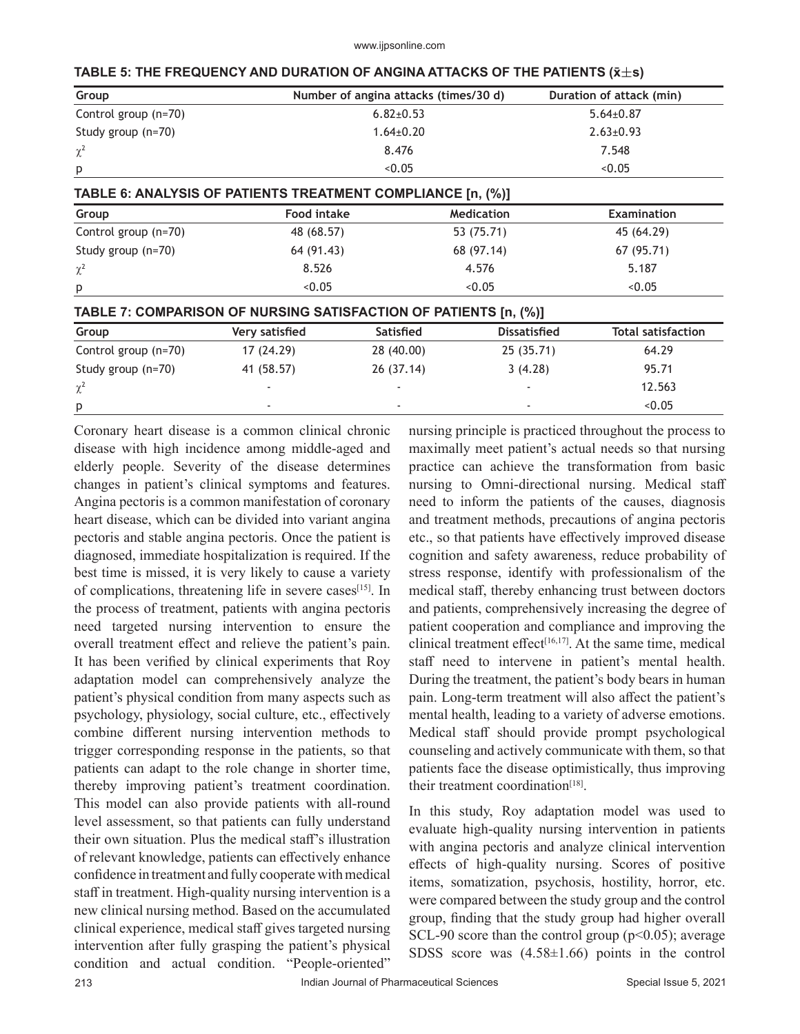**TABLE 5: THE FREQUENCY AND DURATION OF ANGINA ATTACKS OF THE PATIENTS (x̄s)**

| Group                |                                                                  | Number of angina attacks (times/30 d) |                     | Duration of attack (min)  |  |
|----------------------|------------------------------------------------------------------|---------------------------------------|---------------------|---------------------------|--|
| Control group (n=70) |                                                                  | $6.82 \pm 0.53$                       |                     | $5.64 \pm 0.87$           |  |
| Study group (n=70)   |                                                                  | $1.64 \pm 0.20$                       |                     | $2.63 \pm 0.93$           |  |
| $\chi^2$             |                                                                  | 8.476                                 |                     | 7.548                     |  |
| p                    |                                                                  | < 0.05                                |                     | 0.05                      |  |
|                      | TABLE 6: ANALYSIS OF PATIENTS TREATMENT COMPLIANCE [n, (%)]      |                                       |                     |                           |  |
| Group                | <b>Food intake</b>                                               | <b>Medication</b>                     |                     | <b>Examination</b>        |  |
| Control group (n=70) | 48 (68.57)                                                       | 53 (75.71)                            |                     | 45 (64.29)                |  |
| Study group (n=70)   | 64 (91.43)                                                       | 68 (97.14)                            |                     | 67 (95.71)                |  |
| $\chi^2$             | 8.526                                                            | 4.576                                 |                     | 5.187                     |  |
| p                    | 0.05                                                             | < 0.05                                |                     | < 0.05                    |  |
|                      | TABLE 7: COMPARISON OF NURSING SATISFACTION OF PATIENTS [n, (%)] |                                       |                     |                           |  |
| Group                | Very satisfied                                                   | Satisfied                             | <b>Dissatisfied</b> | <b>Total satisfaction</b> |  |
| Control group (n=70) | 17 (24.29)                                                       | 28 (40.00)                            | 25 (35.71)          | 64.29                     |  |
| Study group $(n=70)$ | 41 (58.57)                                                       | 26 (37.14)                            | 3(4.28)             | 95.71                     |  |
| $\chi^2$             |                                                                  |                                       |                     | 12.563                    |  |

p - - - <0.05 Coronary heart disease is a common clinical chronic disease with high incidence among middle-aged and elderly people. Severity of the disease determines changes in patient's clinical symptoms and features. Angina pectoris is a common manifestation of coronary heart disease, which can be divided into variant angina pectoris and stable angina pectoris. Once the patient is diagnosed, immediate hospitalization is required. If the best time is missed, it is very likely to cause a variety of complications, threatening life in severe cases[15]. In the process of treatment, patients with angina pectoris need targeted nursing intervention to ensure the overall treatment effect and relieve the patient's pain. It has been verified by clinical experiments that Roy adaptation model can comprehensively analyze the patient's physical condition from many aspects such as psychology, physiology, social culture, etc., effectively combine different nursing intervention methods to trigger corresponding response in the patients, so that patients can adapt to the role change in shorter time, thereby improving patient's treatment coordination. This model can also provide patients with all-round level assessment, so that patients can fully understand their own situation. Plus the medical staff's illustration of relevant knowledge, patients can effectively enhance confidence in treatment and fully cooperate with medical staff in treatment. High-quality nursing intervention is a new clinical nursing method. Based on the accumulated clinical experience, medical staff gives targeted nursing intervention after fully grasping the patient's physical condition and actual condition. "People-oriented"

nursing principle is practiced throughout the process to maximally meet patient's actual needs so that nursing practice can achieve the transformation from basic nursing to Omni-directional nursing. Medical staff need to inform the patients of the causes, diagnosis and treatment methods, precautions of angina pectoris etc., so that patients have effectively improved disease cognition and safety awareness, reduce probability of stress response, identify with professionalism of the medical staff, thereby enhancing trust between doctors and patients, comprehensively increasing the degree of patient cooperation and compliance and improving the clinical treatment effect $[16,17]$ . At the same time, medical staff need to intervene in patient's mental health. During the treatment, the patient's body bears in human pain. Long-term treatment will also affect the patient's mental health, leading to a variety of adverse emotions. Medical staff should provide prompt psychological counseling and actively communicate with them, so that patients face the disease optimistically, thus improving their treatment coordination $[18]$ .

In this study, Roy adaptation model was used to evaluate high-quality nursing intervention in patients with angina pectoris and analyze clinical intervention effects of high-quality nursing. Scores of positive items, somatization, psychosis, hostility, horror, etc. were compared between the study group and the control group, finding that the study group had higher overall SCL-90 score than the control group ( $p<0.05$ ); average SDSS score was  $(4.58\pm1.66)$  points in the control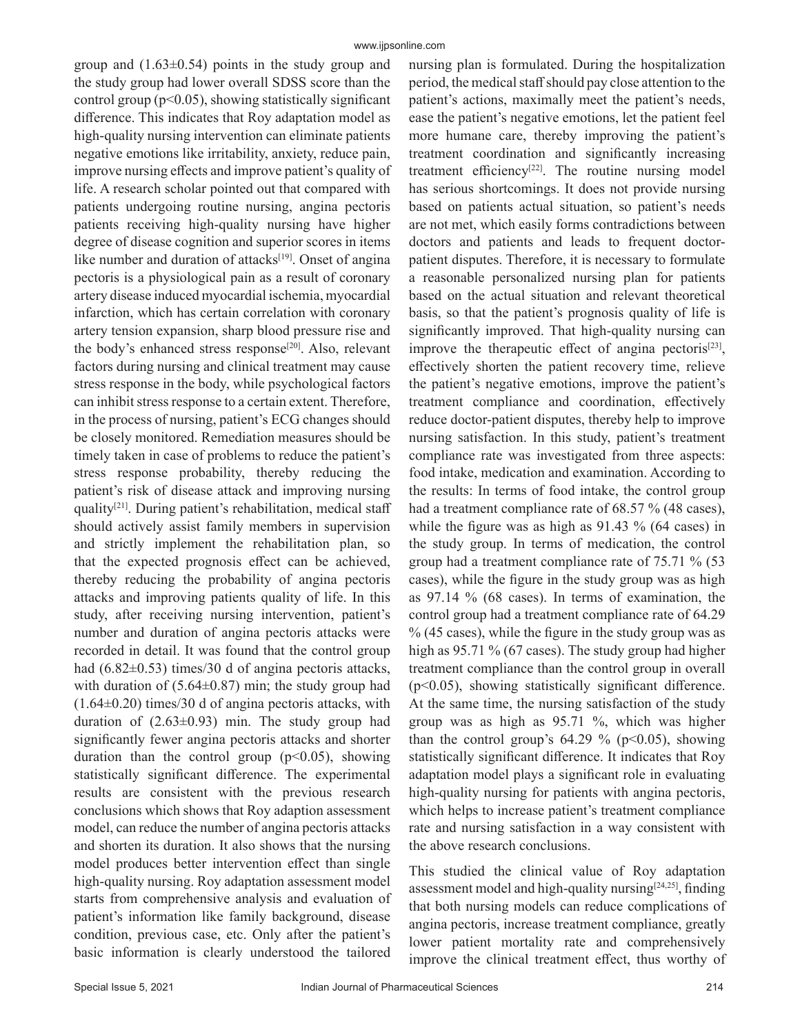group and  $(1.63\pm0.54)$  points in the study group and the study group had lower overall SDSS score than the control group (p<0.05), showing statistically significant difference. This indicates that Roy adaptation model as high-quality nursing intervention can eliminate patients negative emotions like irritability, anxiety, reduce pain, improve nursing effects and improve patient's quality of life. A research scholar pointed out that compared with patients undergoing routine nursing, angina pectoris patients receiving high-quality nursing have higher degree of disease cognition and superior scores in items like number and duration of attacks<sup>[19]</sup>. Onset of angina pectoris is a physiological pain as a result of coronary artery disease induced myocardial ischemia, myocardial infarction, which has certain correlation with coronary artery tension expansion, sharp blood pressure rise and the body's enhanced stress response<sup>[20]</sup>. Also, relevant factors during nursing and clinical treatment may cause stress response in the body, while psychological factors can inhibit stress response to a certain extent. Therefore, in the process of nursing, patient's ECG changes should be closely monitored. Remediation measures should be timely taken in case of problems to reduce the patient's stress response probability, thereby reducing the patient's risk of disease attack and improving nursing quality[21]. During patient's rehabilitation, medical staff should actively assist family members in supervision and strictly implement the rehabilitation plan, so that the expected prognosis effect can be achieved, thereby reducing the probability of angina pectoris attacks and improving patients quality of life. In this study, after receiving nursing intervention, patient's number and duration of angina pectoris attacks were recorded in detail. It was found that the control group had  $(6.82\pm0.53)$  times/30 d of angina pectoris attacks, with duration of  $(5.64\pm0.87)$  min; the study group had (1.64±0.20) times/30 d of angina pectoris attacks, with duration of (2.63±0.93) min. The study group had significantly fewer angina pectoris attacks and shorter duration than the control group  $(p<0.05)$ , showing statistically significant difference. The experimental results are consistent with the previous research conclusions which shows that Roy adaption assessment model, can reduce the number of angina pectoris attacks and shorten its duration. It also shows that the nursing model produces better intervention effect than single high-quality nursing. Roy adaptation assessment model starts from comprehensive analysis and evaluation of patient's information like family background, disease condition, previous case, etc. Only after the patient's basic information is clearly understood the tailored nursing plan is formulated. During the hospitalization period, the medical staff should pay close attention to the patient's actions, maximally meet the patient's needs, ease the patient's negative emotions, let the patient feel more humane care, thereby improving the patient's treatment coordination and significantly increasing treatment efficiency<sup>[22]</sup>. The routine nursing model has serious shortcomings. It does not provide nursing based on patients actual situation, so patient's needs are not met, which easily forms contradictions between doctors and patients and leads to frequent doctorpatient disputes. Therefore, it is necessary to formulate a reasonable personalized nursing plan for patients based on the actual situation and relevant theoretical basis, so that the patient's prognosis quality of life is significantly improved. That high-quality nursing can improve the therapeutic effect of angina pectoris $[23]$ , effectively shorten the patient recovery time, relieve the patient's negative emotions, improve the patient's treatment compliance and coordination, effectively reduce doctor-patient disputes, thereby help to improve nursing satisfaction. In this study, patient's treatment compliance rate was investigated from three aspects: food intake, medication and examination. According to the results: In terms of food intake, the control group had a treatment compliance rate of 68.57 % (48 cases), while the figure was as high as 91.43 % (64 cases) in the study group. In terms of medication, the control group had a treatment compliance rate of 75.71 % (53 cases), while the figure in the study group was as high as 97.14 % (68 cases). In terms of examination, the control group had a treatment compliance rate of 64.29 % (45 cases), while the figure in the study group was as high as 95.71 % (67 cases). The study group had higher treatment compliance than the control group in overall (p<0.05), showing statistically significant difference. At the same time, the nursing satisfaction of the study group was as high as 95.71 %, which was higher than the control group's  $64.29 \%$  (p<0.05), showing statistically significant difference. It indicates that Roy adaptation model plays a significant role in evaluating high-quality nursing for patients with angina pectoris, which helps to increase patient's treatment compliance rate and nursing satisfaction in a way consistent with the above research conclusions.

This studied the clinical value of Roy adaptation assessment model and high-quality nursing<sup>[24,25]</sup>, finding that both nursing models can reduce complications of angina pectoris, increase treatment compliance, greatly lower patient mortality rate and comprehensively improve the clinical treatment effect, thus worthy of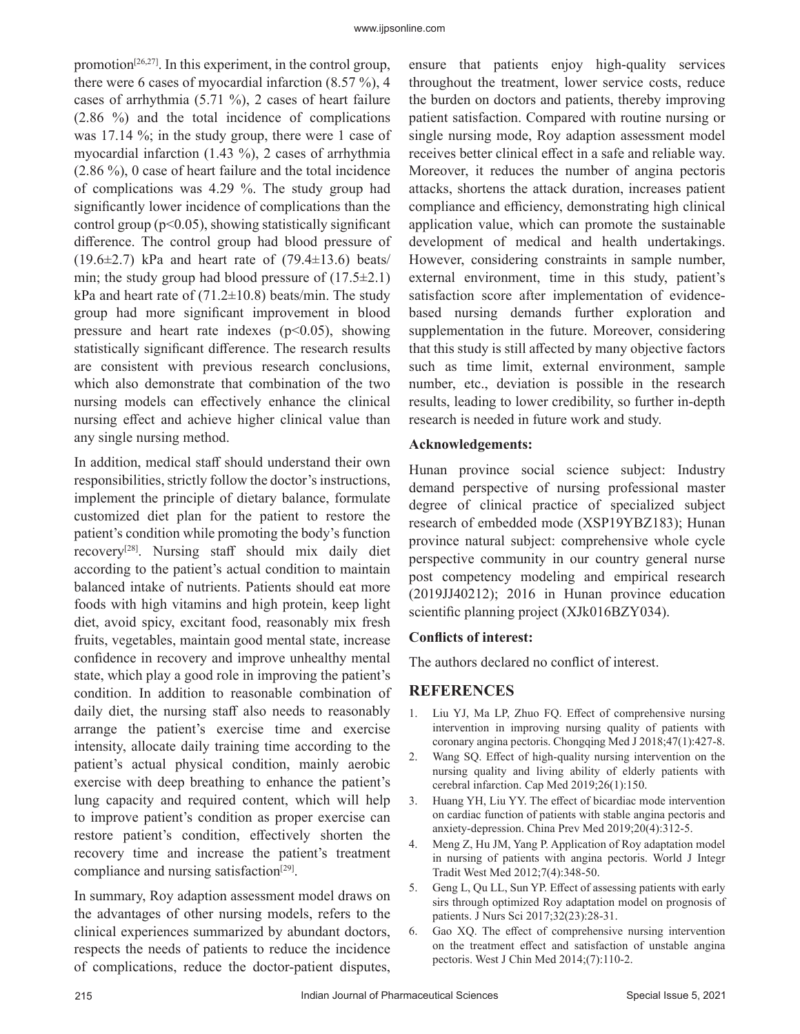promotion<sup>[26,27]</sup>. In this experiment, in the control group, there were 6 cases of myocardial infarction  $(8.57 \%)$ , 4 cases of arrhythmia (5.71 %), 2 cases of heart failure (2.86 %) and the total incidence of complications was 17.14 %; in the study group, there were 1 case of myocardial infarction (1.43 %), 2 cases of arrhythmia (2.86 %), 0 case of heart failure and the total incidence of complications was 4.29 %. The study group had significantly lower incidence of complications than the control group ( $p<0.05$ ), showing statistically significant difference. The control group had blood pressure of  $(19.6\pm2.7)$  kPa and heart rate of  $(79.4\pm13.6)$  beats/ min; the study group had blood pressure of  $(17.5\pm2.1)$ kPa and heart rate of  $(71.2 \pm 10.8)$  beats/min. The study group had more significant improvement in blood pressure and heart rate indexes  $(p<0.05)$ , showing statistically significant difference. The research results are consistent with previous research conclusions, which also demonstrate that combination of the two nursing models can effectively enhance the clinical nursing effect and achieve higher clinical value than any single nursing method.

In addition, medical staff should understand their own responsibilities, strictly follow the doctor's instructions, implement the principle of dietary balance, formulate customized diet plan for the patient to restore the patient's condition while promoting the body's function recovery[28]. Nursing staff should mix daily diet according to the patient's actual condition to maintain balanced intake of nutrients. Patients should eat more foods with high vitamins and high protein, keep light diet, avoid spicy, excitant food, reasonably mix fresh fruits, vegetables, maintain good mental state, increase confidence in recovery and improve unhealthy mental state, which play a good role in improving the patient's condition. In addition to reasonable combination of daily diet, the nursing staff also needs to reasonably arrange the patient's exercise time and exercise intensity, allocate daily training time according to the patient's actual physical condition, mainly aerobic exercise with deep breathing to enhance the patient's lung capacity and required content, which will help to improve patient's condition as proper exercise can restore patient's condition, effectively shorten the recovery time and increase the patient's treatment compliance and nursing satisfaction<sup>[29]</sup>.

In summary, Roy adaption assessment model draws on the advantages of other nursing models, refers to the clinical experiences summarized by abundant doctors, respects the needs of patients to reduce the incidence of complications, reduce the doctor-patient disputes,

ensure that patients enjoy high-quality services throughout the treatment, lower service costs, reduce the burden on doctors and patients, thereby improving patient satisfaction. Compared with routine nursing or single nursing mode, Roy adaption assessment model receives better clinical effect in a safe and reliable way. Moreover, it reduces the number of angina pectoris attacks, shortens the attack duration, increases patient compliance and efficiency, demonstrating high clinical application value, which can promote the sustainable development of medical and health undertakings. However, considering constraints in sample number, external environment, time in this study, patient's satisfaction score after implementation of evidencebased nursing demands further exploration and supplementation in the future. Moreover, considering that this study is still affected by many objective factors such as time limit, external environment, sample number, etc., deviation is possible in the research results, leading to lower credibility, so further in-depth research is needed in future work and study.

#### **Acknowledgements:**

Hunan province social science subject: Industry demand perspective of nursing professional master degree of clinical practice of specialized subject research of embedded mode (XSP19YBZ183); Hunan province natural subject: comprehensive whole cycle perspective community in our country general nurse post competency modeling and empirical research (2019JJ40212); 2016 in Hunan province education scientific planning project (XJk016BZY034).

## **Conflicts of interest:**

The authors declared no conflict of interest.

## **REFERENCES**

- 1. Liu YJ, Ma LP, Zhuo FQ. Effect of comprehensive nursing intervention in improving nursing quality of patients with coronary angina pectoris. Chongqing Med J 2018;47(1):427-8.
- 2. Wang SQ. Effect of high-quality nursing intervention on the nursing quality and living ability of elderly patients with cerebral infarction. Cap Med 2019;26(1):150.
- 3. Huang YH, Liu YY. The effect of bicardiac mode intervention on cardiac function of patients with stable angina pectoris and anxiety-depression. China Prev Med 2019;20(4):312-5.
- 4. Meng Z, Hu JM, Yang P. Application of Roy adaptation model in nursing of patients with angina pectoris. World J Integr Tradit West Med 2012;7(4):348-50.
- 5. Geng L, Qu LL, Sun YP. Effect of assessing patients with early sirs through optimized Roy adaptation model on prognosis of patients. J Nurs Sci 2017;32(23):28-31.
- 6. Gao XQ. The effect of comprehensive nursing intervention on the treatment effect and satisfaction of unstable angina pectoris. West J Chin Med 2014;(7):110-2.